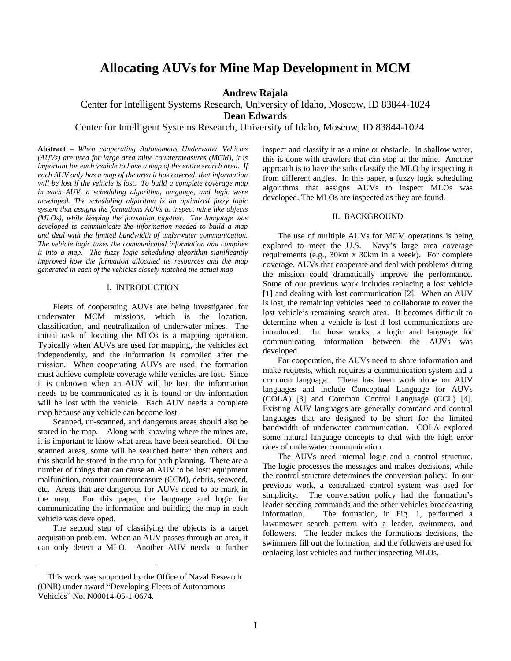# **Allocating AUVs for Mine Map Development in MCM**

# **Andrew Rajala**

Center for Intelligent Systems Research, University of Idaho, Moscow, ID 83844-1024 **Dean Edwards** 

Center for Intelligent Systems Research, University of Idaho, Moscow, ID 83844-1024

**Abstract –** *When cooperating Autonomous Underwater Vehicles (AUVs) are used for large area mine countermeasures (MCM), it is important for each vehicle to have a map of the entire search area. If each AUV only has a map of the area it has covered, that information will be lost if the vehicle is lost. To build a complete coverage map in each AUV, a scheduling algorithm, language, and logic were developed. The scheduling algorithm is an optimized fuzzy logic system that assigns the formations AUVs to inspect mine like objects (MLOs), while keeping the formation together. The language was developed to communicate the information needed to build a map and deal with the limited bandwidth of underwater communication. The vehicle logic takes the communicated information and compiles it into a map. The fuzzy logic scheduling algorithm significantly improved how the formation allocated its resources and the map generated in each of the vehicles closely matched the actual map*

### I. INTRODUCTION

Fleets of cooperating AUVs are being investigated for underwater MCM missions, which is the location, classification, and neutralization of underwater mines. The initial task of locating the MLOs is a mapping operation. Typically when AUVs are used for mapping, the vehicles act independently, and the information is compiled after the mission. When cooperating AUVs are used, the formation must achieve complete coverage while vehicles are lost. Since it is unknown when an AUV will be lost, the information needs to be communicated as it is found or the information will be lost with the vehicle. Each AUV needs a complete map because any vehicle can become lost.

Scanned, un-scanned, and dangerous areas should also be stored in the map. Along with knowing where the mines are, it is important to know what areas have been searched. Of the scanned areas, some will be searched better then others and this should be stored in the map for path planning. There are a number of things that can cause an AUV to be lost: equipment malfunction, counter countermeasure (CCM), debris, seaweed, etc. Areas that are dangerous for AUVs need to be mark in the map. For this paper, the language and logic for communicating the information and building the map in each vehicle was developed[.](#page-0-0)

The second step of classifying the objects is a target acquisition problem. When an AUV passes through an area, it can only detect a MLO. Another AUV needs to further

1

inspect and classify it as a mine or obstacle. In shallow water, this is done with crawlers that can stop at the mine. Another approach is to have the subs classify the MLO by inspecting it from different angles. In this paper, a fuzzy logic scheduling algorithms that assigns AUVs to inspect MLOs was developed. The MLOs are inspected as they are found.

## II. BACKGROUND

The use of multiple AUVs for MCM operations is being explored to meet the U.S. Navy's large area coverage requirements (e.g., 30km x 30km in a week). For complete coverage, AUVs that cooperate and deal with problems during the mission could dramatically improve the performance. Some of our previous work includes replacing a lost vehicle [1] and dealing with lost communication [2]. When an AUV is lost, the remaining vehicles need to collaborate to cover the lost vehicle's remaining search area. It becomes difficult to determine when a vehicle is lost if lost communications are introduced. In those works, a logic and language for communicating information between the AUVs was developed.

For cooperation, the AUVs need to share information and make requests, which requires a communication system and a common language. There has been work done on AUV languages and include Conceptual Language for AUVs (COLA) [3] and Common Control Language (CCL) [4]. Existing AUV languages are generally command and control languages that are designed to be short for the limited bandwidth of underwater communication. COLA explored some natural language concepts to deal with the high error rates of underwater communication.

The AUVs need internal logic and a control structure. The logic processes the messages and makes decisions, while the control structure determines the conversion policy. In our previous work, a centralized control system was used for simplicity. The conversation policy had the formation's leader sending commands and the other vehicles broadcasting information. The formation, in Fig. 1, performed a lawnmower search pattern with a leader, swimmers, and followers. The leader makes the formations decisions, the swimmers fill out the formation, and the followers are used for replacing lost vehicles and further inspecting MLOs.

<span id="page-0-0"></span>This work was supported by the Office of Naval Research (ONR) under award "Developing Fleets of Autonomous Vehicles" No. N00014-05-1-0674.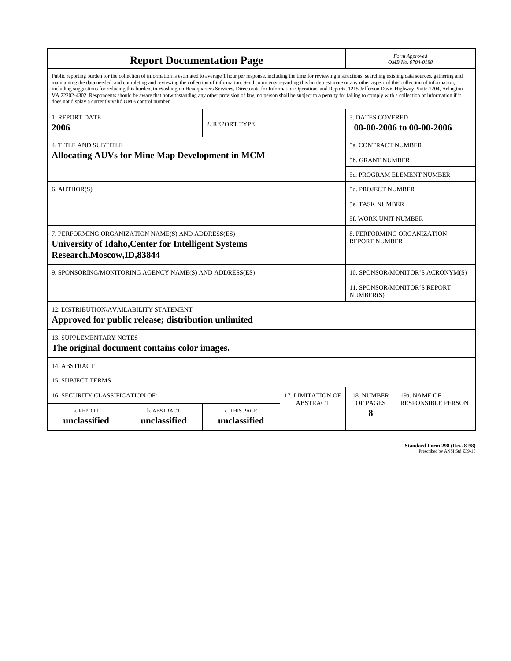| <b>Report Documentation Page</b>                                                                                                                                                                                                                                                                                                                                                                                                                                                                                                                                                                                                                                                                                                                                                                                                                                   |                             |                              |                 |                                                    | Form Approved<br>OMB No. 0704-0188 |  |
|--------------------------------------------------------------------------------------------------------------------------------------------------------------------------------------------------------------------------------------------------------------------------------------------------------------------------------------------------------------------------------------------------------------------------------------------------------------------------------------------------------------------------------------------------------------------------------------------------------------------------------------------------------------------------------------------------------------------------------------------------------------------------------------------------------------------------------------------------------------------|-----------------------------|------------------------------|-----------------|----------------------------------------------------|------------------------------------|--|
| Public reporting burden for the collection of information is estimated to average 1 hour per response, including the time for reviewing instructions, searching existing data sources, gathering and<br>maintaining the data needed, and completing and reviewing the collection of information. Send comments regarding this burden estimate or any other aspect of this collection of information,<br>including suggestions for reducing this burden, to Washington Headquarters Services, Directorate for Information Operations and Reports, 1215 Jefferson Davis Highway, Suite 1204, Arlington<br>VA 22202-4302. Respondents should be aware that notwithstanding any other provision of law, no person shall be subject to a penalty for failing to comply with a collection of information if it<br>does not display a currently valid OMB control number. |                             |                              |                 |                                                    |                                    |  |
| 1. REPORT DATE<br>2006                                                                                                                                                                                                                                                                                                                                                                                                                                                                                                                                                                                                                                                                                                                                                                                                                                             |                             | 2. REPORT TYPE               |                 | <b>3. DATES COVERED</b>                            | 00-00-2006 to 00-00-2006           |  |
| <b>4. TITLE AND SUBTITLE</b>                                                                                                                                                                                                                                                                                                                                                                                                                                                                                                                                                                                                                                                                                                                                                                                                                                       |                             |                              |                 | 5a. CONTRACT NUMBER                                |                                    |  |
| <b>Allocating AUVs for Mine Map Development in MCM</b>                                                                                                                                                                                                                                                                                                                                                                                                                                                                                                                                                                                                                                                                                                                                                                                                             |                             |                              |                 | 5b. GRANT NUMBER                                   |                                    |  |
|                                                                                                                                                                                                                                                                                                                                                                                                                                                                                                                                                                                                                                                                                                                                                                                                                                                                    |                             | 5c. PROGRAM ELEMENT NUMBER   |                 |                                                    |                                    |  |
| 6. AUTHOR(S)                                                                                                                                                                                                                                                                                                                                                                                                                                                                                                                                                                                                                                                                                                                                                                                                                                                       |                             |                              |                 | <b>5d. PROJECT NUMBER</b>                          |                                    |  |
|                                                                                                                                                                                                                                                                                                                                                                                                                                                                                                                                                                                                                                                                                                                                                                                                                                                                    |                             | 5e. TASK NUMBER              |                 |                                                    |                                    |  |
|                                                                                                                                                                                                                                                                                                                                                                                                                                                                                                                                                                                                                                                                                                                                                                                                                                                                    |                             | <b>5f. WORK UNIT NUMBER</b>  |                 |                                                    |                                    |  |
| 7. PERFORMING ORGANIZATION NAME(S) AND ADDRESS(ES)<br><b>University of Idaho, Center for Intelligent Systems</b><br>Research, Moscow, ID, 83844                                                                                                                                                                                                                                                                                                                                                                                                                                                                                                                                                                                                                                                                                                                    |                             |                              |                 | 8. PERFORMING ORGANIZATION<br><b>REPORT NUMBER</b> |                                    |  |
| 9. SPONSORING/MONITORING AGENCY NAME(S) AND ADDRESS(ES)                                                                                                                                                                                                                                                                                                                                                                                                                                                                                                                                                                                                                                                                                                                                                                                                            |                             |                              |                 | 10. SPONSOR/MONITOR'S ACRONYM(S)                   |                                    |  |
|                                                                                                                                                                                                                                                                                                                                                                                                                                                                                                                                                                                                                                                                                                                                                                                                                                                                    |                             |                              |                 | 11. SPONSOR/MONITOR'S REPORT<br>NUMBER(S)          |                                    |  |
| 12. DISTRIBUTION/AVAILABILITY STATEMENT<br>Approved for public release; distribution unlimited                                                                                                                                                                                                                                                                                                                                                                                                                                                                                                                                                                                                                                                                                                                                                                     |                             |                              |                 |                                                    |                                    |  |
| <b>13. SUPPLEMENTARY NOTES</b><br>The original document contains color images.                                                                                                                                                                                                                                                                                                                                                                                                                                                                                                                                                                                                                                                                                                                                                                                     |                             |                              |                 |                                                    |                                    |  |
| 14. ABSTRACT                                                                                                                                                                                                                                                                                                                                                                                                                                                                                                                                                                                                                                                                                                                                                                                                                                                       |                             |                              |                 |                                                    |                                    |  |
| <b>15. SUBJECT TERMS</b>                                                                                                                                                                                                                                                                                                                                                                                                                                                                                                                                                                                                                                                                                                                                                                                                                                           |                             |                              |                 |                                                    |                                    |  |
| 16. SECURITY CLASSIFICATION OF:                                                                                                                                                                                                                                                                                                                                                                                                                                                                                                                                                                                                                                                                                                                                                                                                                                    | 17. LIMITATION OF           | 18. NUMBER                   | 19a. NAME OF    |                                                    |                                    |  |
| a. REPORT<br>unclassified                                                                                                                                                                                                                                                                                                                                                                                                                                                                                                                                                                                                                                                                                                                                                                                                                                          | b. ABSTRACT<br>unclassified | c. THIS PAGE<br>unclassified | <b>ABSTRACT</b> | OF PAGES<br>8                                      | <b>RESPONSIBLE PERSON</b>          |  |

**Standard Form 298 (Rev. 8-98)**<br>Prescribed by ANSI Std Z39-18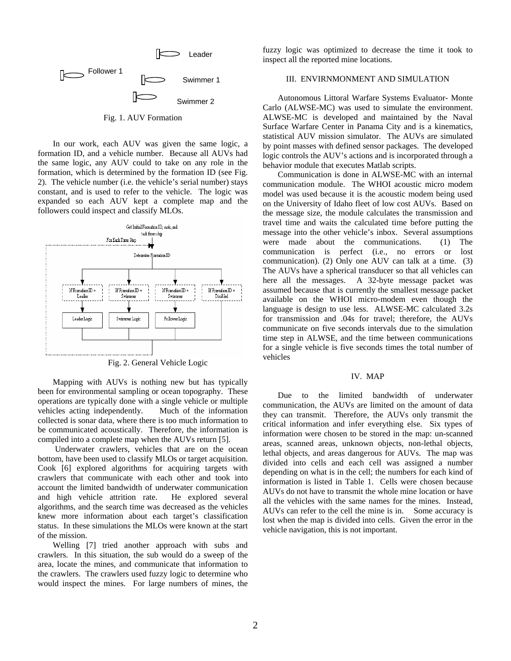

Fig. 1. AUV Formation

In our work, each AUV was given the same logic, a formation ID, and a vehicle number. Because all AUVs had the same logic, any AUV could to take on any role in the formation, which is determined by the formation ID (see Fig. 2). The vehicle number (i.e. the vehicle's serial number) stays constant, and is used to refer to the vehicle. The logic was expanded so each AUV kept a complete map and the followers could inspect and classify MLOs.



Fig. 2. General Vehicle Logic

Mapping with AUVs is nothing new but has typically been for environmental sampling or ocean topography. These operations are typically done with a single vehicle or multiple vehicles acting independently. Much of the information collected is sonar data, where there is too much information to be communicated acoustically. Therefore, the information is compiled into a complete map when the AUVs return [5].

Underwater crawlers, vehicles that are on the ocean bottom, have been used to classify MLOs or target acquisition. Cook [6] explored algorithms for acquiring targets with crawlers that communicate with each other and took into account the limited bandwidth of underwater communication and high vehicle attrition rate. He explored several algorithms, and the search time was decreased as the vehicles knew more information about each target's classification status. In these simulations the MLOs were known at the start of the mission.

Welling [7] tried another approach with subs and crawlers. In this situation, the sub would do a sweep of the area, locate the mines, and communicate that information to the crawlers. The crawlers used fuzzy logic to determine who would inspect the mines. For large numbers of mines, the fuzzy logic was optimized to decrease the time it took to inspect all the reported mine locations.

### Swimmer 1 **III. ENVIRNMONMENT AND SIMULATION**

 Autonomous Littoral Warfare Systems Evaluator- Monte Carlo (ALWSE-MC) was used to simulate the environment. ALWSE-MC is developed and maintained by the Naval Surface Warfare Center in Panama City and is a kinematics, statistical AUV mission simulator. The AUVs are simulated by point masses with defined sensor packages. The developed logic controls the AUV's actions and is incorporated through a behavior module that executes Matlab scripts.

Communication is done in ALWSE-MC with an internal communication module. The WHOI acoustic micro modem model was used because it is the acoustic modem being used on the University of Idaho fleet of low cost AUVs. Based on the message size, the module calculates the transmission and travel time and waits the calculated time before putting the message into the other vehicle's inbox. Several assumptions were made about the communications. (1) The communication is perfect (i.e., no errors or lost communication). (2) Only one AUV can talk at a time. (3) The AUVs have a spherical transducer so that all vehicles can here all the messages. A 32-byte message packet was assumed because that is currently the smallest message packet available on the WHOI micro-modem even though the language is design to use less. ALWSE-MC calculated 3.2s for transmission and .04s for travel; therefore, the AUVs communicate on five seconds intervals due to the simulation time step in ALWSE, and the time between communications for a single vehicle is five seconds times the total number of vehicles

#### IV. MAP

Due to the limited bandwidth of underwater communication, the AUVs are limited on the amount of data they can transmit. Therefore, the AUVs only transmit the critical information and infer everything else. Six types of information were chosen to be stored in the map: un-scanned areas, scanned areas, unknown objects, non-lethal objects, lethal objects, and areas dangerous for AUVs. The map was divided into cells and each cell was assigned a number depending on what is in the cell; the numbers for each kind of information is listed in Table 1. Cells were chosen because AUVs do not have to transmit the whole mine location or have all the vehicles with the same names for the mines. Instead, AUVs can refer to the cell the mine is in. Some accuracy is lost when the map is divided into cells. Given the error in the vehicle navigation, this is not important.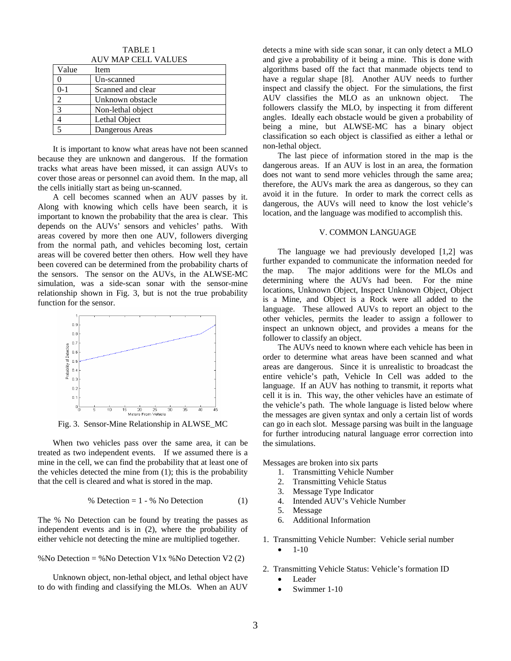TABLE 1 AUV MAP CELL VALUES

|                             | 110 + 1111 11 CLLL + 11LCLD |
|-----------------------------|-----------------------------|
| Value                       | Item                        |
|                             | Un-scanned                  |
| $0 - 1$                     | Scanned and clear           |
| $\mathcal{D}_{\mathcal{L}}$ | Unknown obstacle            |
| $\mathcal{R}$               | Non-lethal object           |
|                             | Lethal Object               |
|                             | Dangerous Areas             |

It is important to know what areas have not been scanned because they are unknown and dangerous. If the formation tracks what areas have been missed, it can assign AUVs to cover those areas or personnel can avoid them. In the map, all the cells initially start as being un-scanned.

A cell becomes scanned when an AUV passes by it. Along with knowing which cells have been search, it is important to known the probability that the area is clear. This depends on the AUVs' sensors and vehicles' paths. With areas covered by more then one AUV, followers diverging from the normal path, and vehicles becoming lost, certain areas will be covered better then others. How well they have been covered can be determined from the probability charts of the sensors. The sensor on the AUVs, in the ALWSE-MC simulation, was a side-scan sonar with the sensor-mine relationship shown in Fig. 3, but is not the true probability function for the sensor.



Fig. 3. Sensor-Mine Relationship in ALWSE\_MC

When two vehicles pass over the same area, it can be treated as two independent events. If we assumed there is a mine in the cell, we can find the probability that at least one of the vehicles detected the mine from (1); this is the probability that the cell is cleared and what is stored in the map.

$$
\% Detection = 1 - \% No Detection \tag{1}
$$

The % No Detection can be found by treating the passes as independent events and is in (2), where the probability of either vehicle not detecting the mine are multiplied together.

% No Detection = % No Detection V1x % No Detection V2  $(2)$ 

Unknown object, non-lethal object, and lethal object have to do with finding and classifying the MLOs. When an AUV detects a mine with side scan sonar, it can only detect a MLO and give a probability of it being a mine. This is done with algorithms based off the fact that manmade objects tend to have a regular shape [8]. Another AUV needs to further inspect and classify the object. For the simulations, the first AUV classifies the MLO as an unknown object. The followers classify the MLO, by inspecting it from different angles. Ideally each obstacle would be given a probability of being a mine, but ALWSE-MC has a binary object classification so each object is classified as either a lethal or non-lethal object.

The last piece of information stored in the map is the dangerous areas. If an AUV is lost in an area, the formation does not want to send more vehicles through the same area; therefore, the AUVs mark the area as dangerous, so they can avoid it in the future. In order to mark the correct cells as dangerous, the AUVs will need to know the lost vehicle's location, and the language was modified to accomplish this.

### V. COMMON LANGUAGE

The language we had previously developed [1,2] was further expanded to communicate the information needed for the map. The major additions were for the MLOs and determining where the AUVs had been. For the mine locations, Unknown Object, Inspect Unknown Object, Object is a Mine, and Object is a Rock were all added to the language. These allowed AUVs to report an object to the other vehicles, permits the leader to assign a follower to inspect an unknown object, and provides a means for the follower to classify an object.

The AUVs need to known where each vehicle has been in order to determine what areas have been scanned and what areas are dangerous. Since it is unrealistic to broadcast the entire vehicle's path, Vehicle In Cell was added to the language. If an AUV has nothing to transmit, it reports what cell it is in. This way, the other vehicles have an estimate of the vehicle's path. The whole language is listed below where the messages are given syntax and only a certain list of words can go in each slot. Message parsing was built in the language for further introducing natural language error correction into the simulations.

Messages are broken into six parts

- 1. Transmitting Vehicle Number
- 2. Transmitting Vehicle Status
- 3. Message Type Indicator
- 4. Intended AUV's Vehicle Number
- 5. Message
- 6. Additional Information
- 1. Transmitting Vehicle Number: Vehicle serial number  $1 - 10$
- 2. Transmitting Vehicle Status: Vehicle's formation ID
	- **Leader**
	- Swimmer 1-10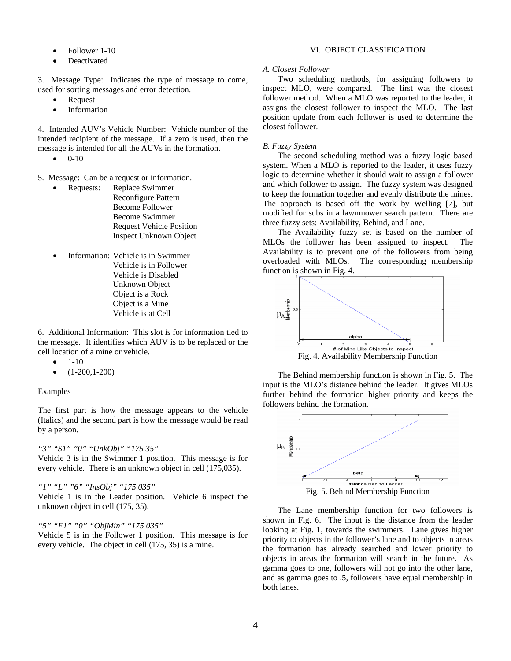- Follower 1-10
- **Deactivated**

3. Message Type: Indicates the type of message to come, used for sorting messages and error detection.

- **Request**
- **Information**

4. Intended AUV's Vehicle Number: Vehicle number of the intended recipient of the message. If a zero is used, then the message is intended for all the AUVs in the formation.

 $\bullet$  0-10

5. Message: Can be a request or information.

- Requests: Replace Swimmer Reconfigure Pattern Become Follower Become Swimmer Request Vehicle Position Inspect Unknown Object
- Information: Vehicle is in Swimmer Vehicle is in Follower Vehicle is Disabled Unknown Object Object is a Rock Object is a Mine Vehicle is at Cell

6. Additional Information: This slot is for information tied to the message. It identifies which AUV is to be replaced or the cell location of a mine or vehicle.

- $1 10$
- $(1-200, 1-200)$

### Examples

The first part is how the message appears to the vehicle (Italics) and the second part is how the message would be read by a person.

# *"3" "S1" "0" "UnkObj" "175 35"*

Vehicle 3 is in the Swimmer 1 position. This message is for every vehicle. There is an unknown object in cell (175,035).

# *"1" "L" "6" "InsObj" "175 035"*

Vehicle 1 is in the Leader position. Vehicle 6 inspect the unknown object in cell (175, 35).

# *"5" "F1" "0" "ObjMin" "175 035"*

Vehicle 5 is in the Follower 1 position. This message is for every vehicle. The object in cell (175, 35) is a mine.

### VI. OBJECT CLASSIFICATION

### *A. Closest Follower*

Two scheduling methods, for assigning followers to inspect MLO, were compared. The first was the closest follower method. When a MLO was reported to the leader, it assigns the closest follower to inspect the MLO. The last position update from each follower is used to determine the closest follower.

# *B. Fuzzy System*

The second scheduling method was a fuzzy logic based system. When a MLO is reported to the leader, it uses fuzzy logic to determine whether it should wait to assign a follower and which follower to assign. The fuzzy system was designed to keep the formation together and evenly distribute the mines. The approach is based off the work by Welling [7], but modified for subs in a lawnmower search pattern. There are three fuzzy sets: Availability, Behind, and Lane.

The Availability fuzzy set is based on the number of MLOs the follower has been assigned to inspect. The Availability is to prevent one of the followers from being overloaded with MLOs. The corresponding membership function is shown in Fig. 4.



The Behind membership function is shown in Fig. 5. The input is the MLO's distance behind the leader. It gives MLOs further behind the formation higher priority and keeps the followers behind the formation.



The Lane membership function for two followers is shown in Fig. 6. The input is the distance from the leader looking at Fig. 1, towards the swimmers. Lane gives higher priority to objects in the follower's lane and to objects in areas the formation has already searched and lower priority to objects in areas the formation will search in the future. As gamma goes to one, followers will not go into the other lane, and as gamma goes to .5, followers have equal membership in both lanes.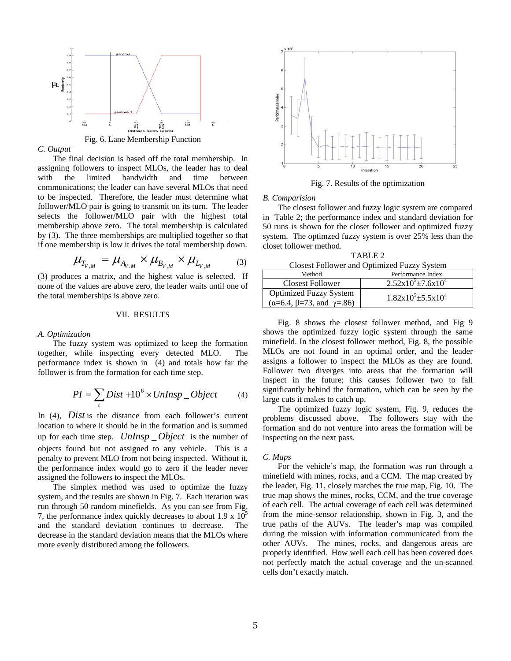

*C. Output*

The final decision is based off the total membership. In assigning followers to inspect MLOs, the leader has to deal with the limited bandwidth and time between communications; the leader can have several MLOs that need to be inspected. Therefore, the leader must determine what follower/MLO pair is going to transmit on its turn. The leader selects the follower/MLO pair with the highest total membership above zero. The total membership is calculated by (3). The three memberships are multiplied together so that if one membership is low it drives the total membership down.

$$
\mu_{T_{V,M}} = \mu_{A_{V,M}} \times \mu_{B_{V,M}} \times \mu_{L_{V,M}}
$$
 (3)

(3) produces a matrix, and the highest value is selected. If none of the values are above zero, the leader waits until one of the total memberships is above zero.

### VII. RESULTS

### *A. Optimization*

The fuzzy system was optimized to keep the formation together, while inspecting every detected MLO. The performance index is shown in (4) and totals how far the follower is from the formation for each time step.

$$
PI = \sum_{t} Dist + 10^{6} \times UnInsp\_Object
$$
 (4)

In (4), *Dist* is the distance from each follower's current location to where it should be in the formation and is summed up for each time step. *UnInsp* \_ *Object* is the number of objects found but not assigned to any vehicle. This is a penalty to prevent MLO from not being inspected. Without it, the performance index would go to zero if the leader never assigned the followers to inspect the MLOs.

The simplex method was used to optimize the fuzzy system, and the results are shown in Fig. 7. Each iteration was run through 50 random minefields. As you can see from Fig. 7, the performance index quickly decreases to about 1.9 x  $10^5$ and the standard deviation continues to decrease. The decrease in the standard deviation means that the MLOs where more evenly distributed among the followers.



Fig. 7. Results of the optimization

### *B. Comparision*

The closest follower and fuzzy logic system are compared in Table 2; the performance index and standard deviation for 50 runs is shown for the closet follower and optimized fuzzy system. The optimzed fuzzy system is over 25% less than the closet follower method.

TABLE 2 Closest Follower and Optimized Fuzzy System

| Crosest Follower and Optimized Fuzzy System                                              |                                        |  |  |  |
|------------------------------------------------------------------------------------------|----------------------------------------|--|--|--|
| Method                                                                                   | Performance Index                      |  |  |  |
| <b>Closest Follower</b>                                                                  | $2.52 \times 10^5 \pm 7.6 \times 10^4$ |  |  |  |
| <b>Optimized Fuzzy System</b><br>$(\alpha = 6.4, \beta = 73, \text{ and } \gamma = .86)$ | $1.82 \times 10^5 \pm 5.5 \times 10^4$ |  |  |  |

Fig. 8 shows the closest follower method, and Fig 9 shows the optimized fuzzy logic system through the same minefield. In the closest follower method, Fig. 8, the possible MLOs are not found in an optimal order, and the leader assigns a follower to inspect the MLOs as they are found. Follower two diverges into areas that the formation will inspect in the future; this causes follower two to fall significantly behind the formation, which can be seen by the large cuts it makes to catch up.

The optimized fuzzy logic system, Fig. 9, reduces the problems discussed above. The followers stay with the formation and do not venture into areas the formation will be inspecting on the next pass.

#### *C. Maps*

For the vehicle's map, the formation was run through a minefield with mines, rocks, and a CCM. The map created by the leader, Fig. 11, closely matches the true map, Fig. 10. The true map shows the mines, rocks, CCM, and the true coverage of each cell. The actual coverage of each cell was determined from the mine-sensor relationship, shown in Fig. 3, and the true paths of the AUVs. The leader's map was compiled during the mission with information communicated from the other AUVs. The mines, rocks, and dangerous areas are properly identified. How well each cell has been covered does not perfectly match the actual coverage and the un-scanned cells don't exactly match.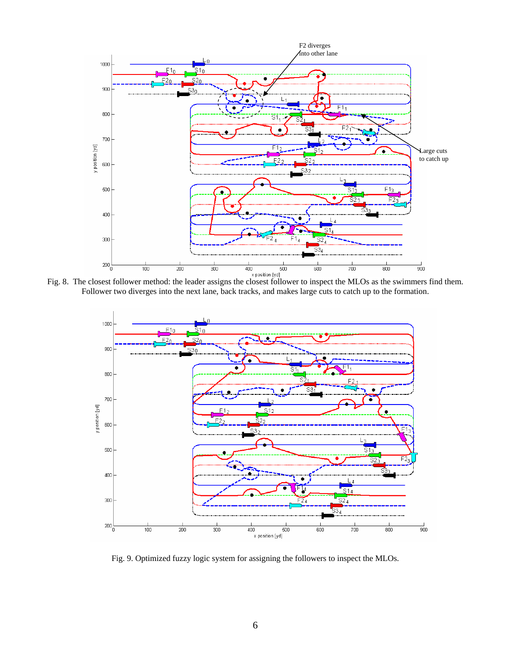

Fig. 8. The closest follower method: the leader assigns the closest follower to inspect the MLOs as the swimmers find them. Follower two diverges into the next lane, back tracks, and makes large cuts to catch up to the formation.



Fig. 9. Optimized fuzzy logic system for assigning the followers to inspect the MLOs.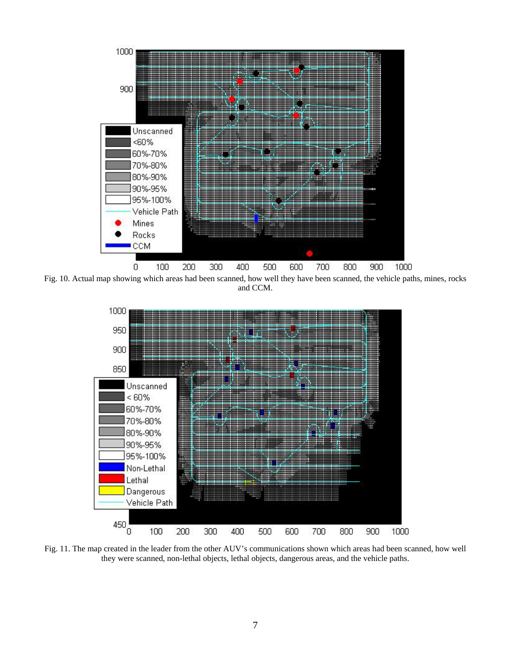

Fig. 10. Actual map showing which areas had been scanned, how well they have been scanned, the vehicle paths, mines, rocks and CCM.



Fig. 11. The map created in the leader from the other AUV's communications shown which areas had been scanned, how well they were scanned, non-lethal objects, lethal objects, dangerous areas, and the vehicle paths.